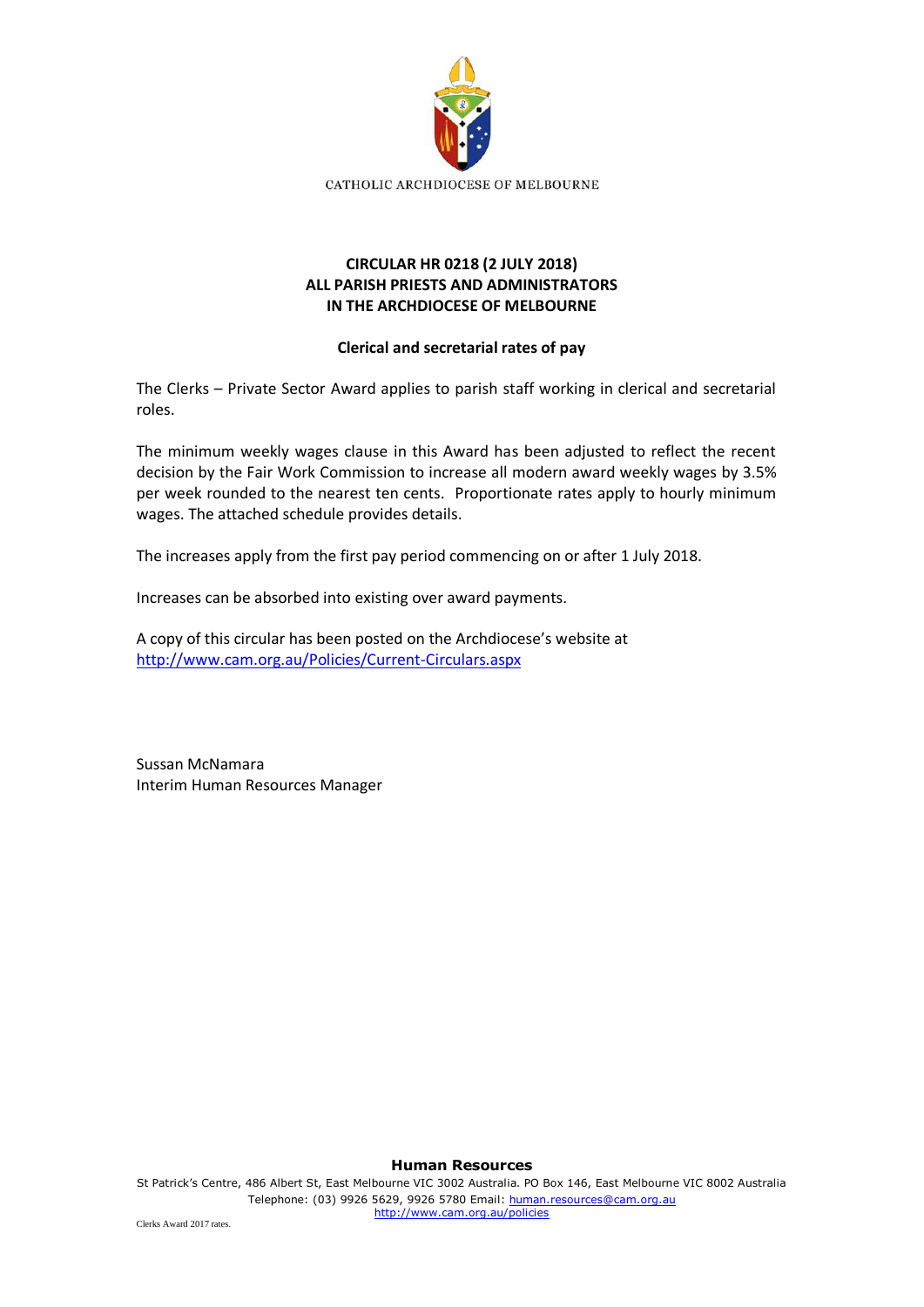

## **CIRCULAR HR 0218 (2 JULY 2018) ALL PARISH PRIESTS AND ADMINISTRATORS IN THE ARCHDIOCESE OF MELBOURNE**

## **Clerical and secretarial rates of pay**

The Clerks – Private Sector Award applies to parish staff working in clerical and secretarial roles.

The minimum weekly wages clause in this Award has been adjusted to reflect the recent decision by the Fair Work Commission to increase all modern award weekly wages by 3.5% per week rounded to the nearest ten cents. Proportionate rates apply to hourly minimum wages. The attached schedule provides details.

The increases apply from the first pay period commencing on or after 1 July 2018.

Increases can be absorbed into existing over award payments.

A copy of this circular has been posted on the Archdiocese's website at <http://www.cam.org.au/Policies/Current-Circulars.aspx>

Sussan McNamara Interim Human Resources Manager

**Human Resources**